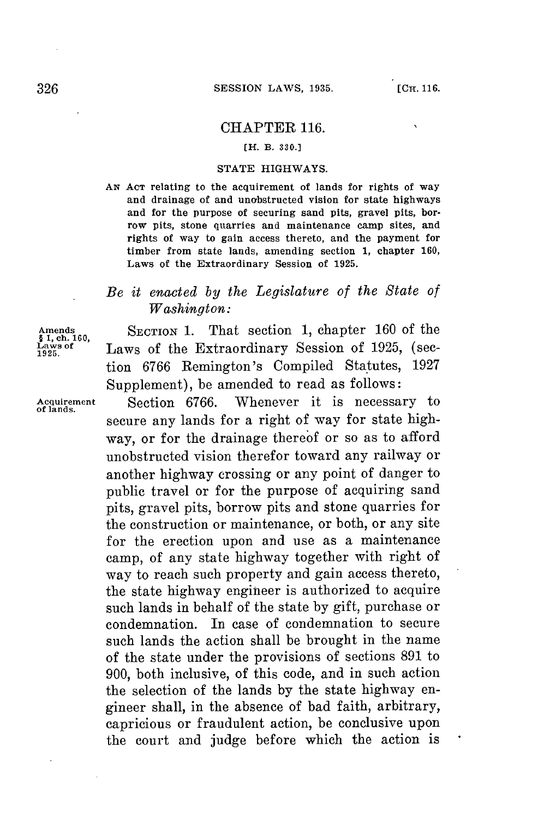$\ddot{\phantom{0}}$ 

## CHAPTER **116.**

### **[H. B. 330.]**

#### **STATE** HIGHWAYS.

*AN* **ACT** relating to the acquirement of lands for rights of way and drainage of and unobstructed vision for state highways and for the purpose of securing sand pits, gravel pits, borrow pits, stone quarries and maintenance camp sites, and rights of way to gain access thereto, and the payment for timber from state lands, amending section **1,** chapter **160,** Laws of the Extraordinary Session of **1925.**

# *Be it enacted by the Legislature of the State of Washington:*

Amends **SECTION 1.** That section **1,** chapter **160** of the Laws of the Extraordinary Session of 1925, (section 6766 Remington's Compiled Statutes, 1927 Supplement), be amended to read as follows:

**Acquirement** Section **6766.** Whenever it is necessary to secure any lands for a right of way for state highway, or for the drainage thereof or so as to afford unobstructed vision therefor toward any railway or another highway crossing or any point of danger to public travel or for the purpose of acquiring sand pits, gravel pits, borrow pits and stone quarries for the construction or maintenance, or both, or any site for the erection upon and use as a maintenance camp, of any state highway together with right of way to reach such property and gain access thereto, the state highway engineer is authorized to acquire such lands in behalf of the state **by** gift, purchase or condemnation. In case of condemnation to secure such lands the action shall be brought in the name of the state under the provisions of sections **891** to **900,** both inclusive, of this code, and in such action the selection of the lands **by** the state highway engineer shall, in the absence of bad faith, arbitrary, capricious or fraudulent action, be conclusive upon the court and judge before which the action is

**§ 1,** ch. **160,**

**of lands.**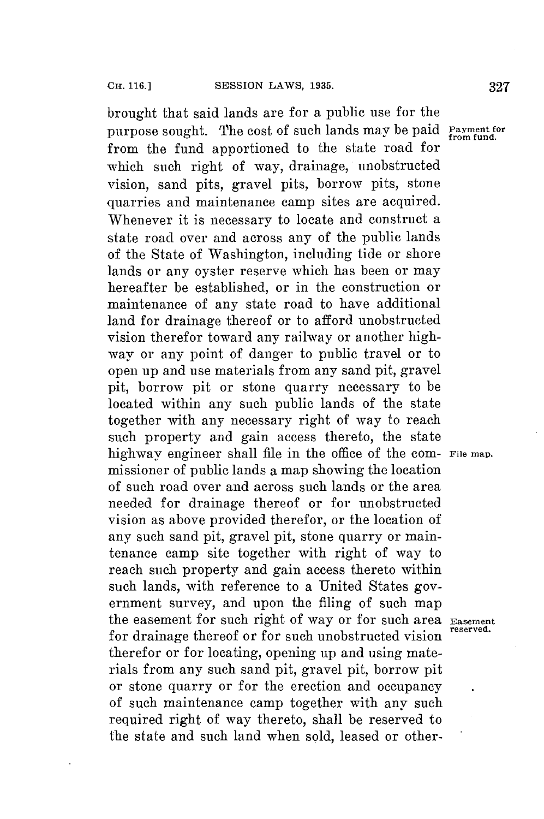brought that said lands are **for** a public use **for** the purpose sought. The cost of such lands may be paid **Payment for** from the fund apportioned to the state road for which such right of way, drainage, unobstructed vision, sand pits, gravel pits, borrow pits, stone quarries and maintenance camp sites are acquired. Whenever it is necessary to locate and construct a state road over and across any of the public lands of the State of Washington, including tide or shore lands or any oyster reserve which has been or may hereafter be established, or in the construction or maintenance of any state road to have additional land for drainage thereof or to afford unobstructed vision therefor toward any railway or another highway or any point of danger to public travel or to open up and use materials from any sand pit, gravel pit, borrow pit or stone quarry necessary to be located within any such public lands of the state together with any necessary right of way to reach such property and gain access thereto, the state highway engineer shall file in the office of the com- File map. missioner of public lands a map showing the location of such road over and across such lands or the area needed for drainage thereof or for unobstructed vision as above provided therefor, or the location of any such sand pit, gravel pit, stone quarry or maintenance camp site together with right of way to reach such property and gain access thereto within such lands, with reference to a United States government survey, and upon the filing of such map the easement for such right of way or for such area **Easement for** drainage thereof or **for** such unobstructed **vision reserved.** therefor or for locating, opening up and using materials from any such sand pit, gravel pit, borrow pit or stone quarry or for the erection and occupancy of such maintenance camp together with any such required right of way thereto, shall be reserved to the state and such land when sold, leased or other-